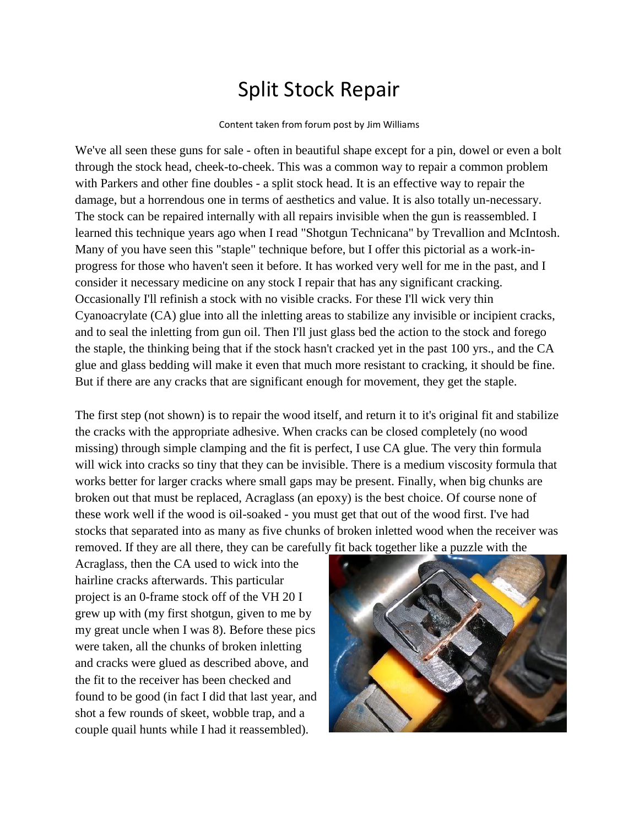## Split Stock Repair

## Content taken from forum post by Jim Williams

We've all seen these guns for sale - often in beautiful shape except for a pin, dowel or even a bolt through the stock head, cheek-to-cheek. This was a common way to repair a common problem with Parkers and other fine doubles - a split stock head. It is an effective way to repair the damage, but a horrendous one in terms of aesthetics and value. It is also totally un-necessary. The stock can be repaired internally with all repairs invisible when the gun is reassembled. I learned this technique years ago when I read "Shotgun Technicana" by Trevallion and McIntosh. Many of you have seen this "staple" technique before, but I offer this pictorial as a work-inprogress for those who haven't seen it before. It has worked very well for me in the past, and I consider it necessary medicine on any stock I repair that has any significant cracking. Occasionally I'll refinish a stock with no visible cracks. For these I'll wick very thin Cyanoacrylate (CA) glue into all the inletting areas to stabilize any invisible or incipient cracks, and to seal the inletting from gun oil. Then I'll just glass bed the action to the stock and forego the staple, the thinking being that if the stock hasn't cracked yet in the past 100 yrs., and the CA glue and glass bedding will make it even that much more resistant to cracking, it should be fine. But if there are any cracks that are significant enough for movement, they get the staple.

The first step (not shown) is to repair the wood itself, and return it to it's original fit and stabilize the cracks with the appropriate adhesive. When cracks can be closed completely (no wood missing) through simple clamping and the fit is perfect, I use CA glue. The very thin formula will wick into cracks so tiny that they can be invisible. There is a medium viscosity formula that works better for larger cracks where small gaps may be present. Finally, when big chunks are broken out that must be replaced, Acraglass (an epoxy) is the best choice. Of course none of these work well if the wood is oil-soaked - you must get that out of the wood first. I've had stocks that separated into as many as five chunks of broken inletted wood when the receiver was removed. If they are all there, they can be carefully fit back together like a puzzle with the

Acraglass, then the CA used to wick into the hairline cracks afterwards. This particular project is an 0-frame stock off of the VH 20 I grew up with (my first shotgun, given to me by my great uncle when I was 8). Before these pics were taken, all the chunks of broken inletting and cracks were glued as described above, and the fit to the receiver has been checked and found to be good (in fact I did that last year, and shot a few rounds of skeet, wobble trap, and a couple quail hunts while I had it reassembled).

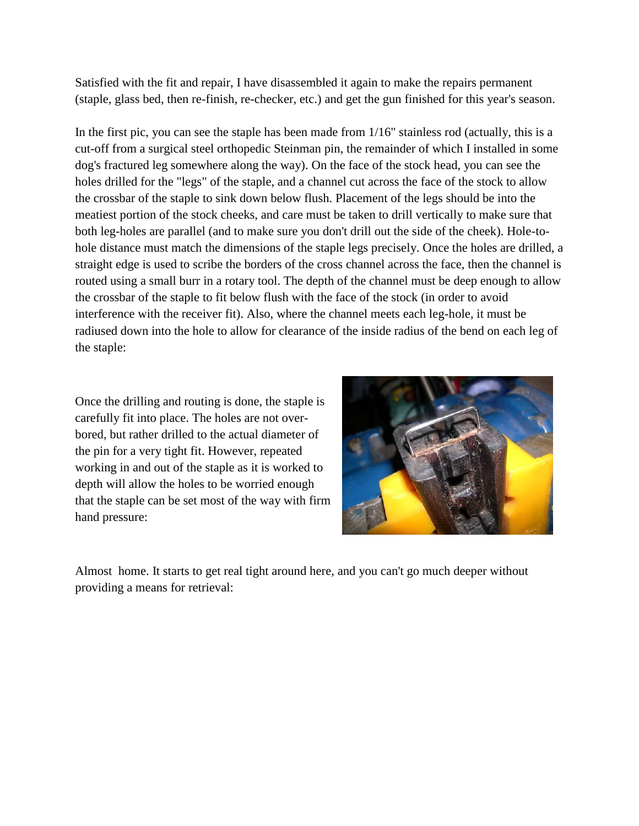Satisfied with the fit and repair, I have disassembled it again to make the repairs permanent (staple, glass bed, then re-finish, re-checker, etc.) and get the gun finished for this year's season.

In the first pic, you can see the staple has been made from 1/16" stainless rod (actually, this is a cut-off from a surgical steel orthopedic Steinman pin, the remainder of which I installed in some dog's fractured leg somewhere along the way). On the face of the stock head, you can see the holes drilled for the "legs" of the staple, and a channel cut across the face of the stock to allow the crossbar of the staple to sink down below flush. Placement of the legs should be into the meatiest portion of the stock cheeks, and care must be taken to drill vertically to make sure that both leg-holes are parallel (and to make sure you don't drill out the side of the cheek). Hole-tohole distance must match the dimensions of the staple legs precisely. Once the holes are drilled, a straight edge is used to scribe the borders of the cross channel across the face, then the channel is routed using a small burr in a rotary tool. The depth of the channel must be deep enough to allow the crossbar of the staple to fit below flush with the face of the stock (in order to avoid interference with the receiver fit). Also, where the channel meets each leg-hole, it must be radiused down into the hole to allow for clearance of the inside radius of the bend on each leg of the staple:

Once the drilling and routing is done, the staple is carefully fit into place. The holes are not overbored, but rather drilled to the actual diameter of the pin for a very tight fit. However, repeated working in and out of the staple as it is worked to depth will allow the holes to be worried enough that the staple can be set most of the way with firm hand pressure:



Almost home. It starts to get real tight around here, and you can't go much deeper without providing a means for retrieval: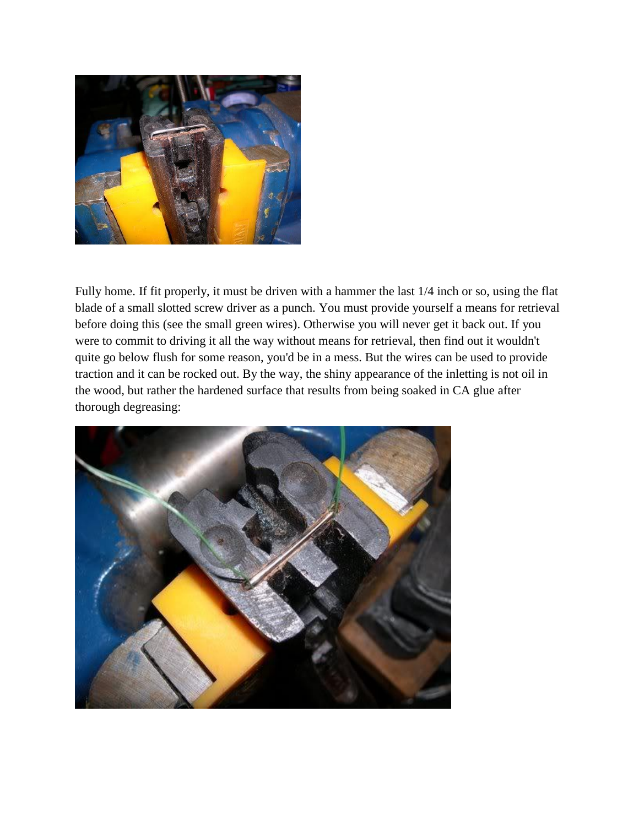

Fully home. If fit properly, it must be driven with a hammer the last 1/4 inch or so, using the flat blade of a small slotted screw driver as a punch. You must provide yourself a means for retrieval before doing this (see the small green wires). Otherwise you will never get it back out. If you were to commit to driving it all the way without means for retrieval, then find out it wouldn't quite go below flush for some reason, you'd be in a mess. But the wires can be used to provide traction and it can be rocked out. By the way, the shiny appearance of the inletting is not oil in the wood, but rather the hardened surface that results from being soaked in CA glue after thorough degreasing:

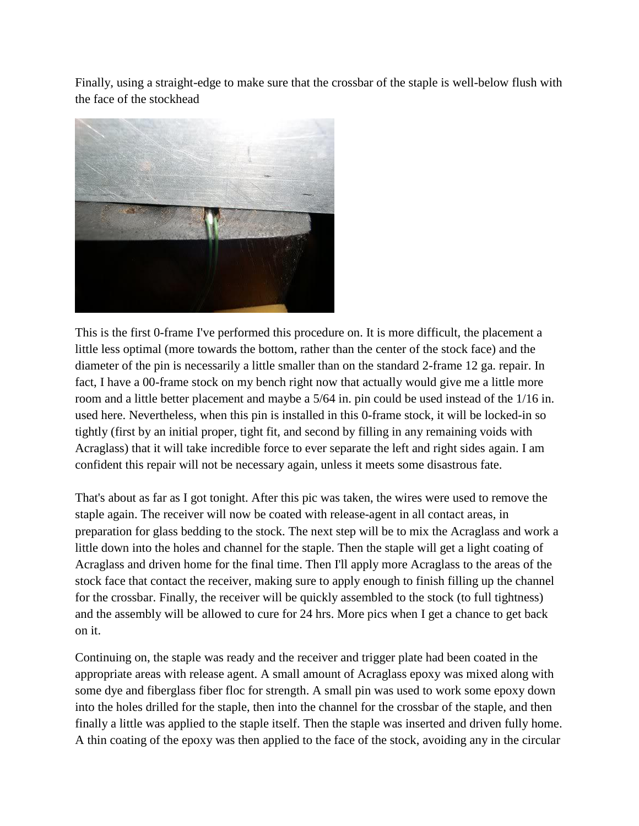Finally, using a straight-edge to make sure that the crossbar of the staple is well-below flush with the face of the stockhead



This is the first 0-frame I've performed this procedure on. It is more difficult, the placement a little less optimal (more towards the bottom, rather than the center of the stock face) and the diameter of the pin is necessarily a little smaller than on the standard 2-frame 12 ga. repair. In fact, I have a 00-frame stock on my bench right now that actually would give me a little more room and a little better placement and maybe a 5/64 in. pin could be used instead of the 1/16 in. used here. Nevertheless, when this pin is installed in this 0-frame stock, it will be locked-in so tightly (first by an initial proper, tight fit, and second by filling in any remaining voids with Acraglass) that it will take incredible force to ever separate the left and right sides again. I am confident this repair will not be necessary again, unless it meets some disastrous fate.

That's about as far as I got tonight. After this pic was taken, the wires were used to remove the staple again. The receiver will now be coated with release-agent in all contact areas, in preparation for glass bedding to the stock. The next step will be to mix the Acraglass and work a little down into the holes and channel for the staple. Then the staple will get a light coating of Acraglass and driven home for the final time. Then I'll apply more Acraglass to the areas of the stock face that contact the receiver, making sure to apply enough to finish filling up the channel for the crossbar. Finally, the receiver will be quickly assembled to the stock (to full tightness) and the assembly will be allowed to cure for 24 hrs. More pics when I get a chance to get back on it.

Continuing on, the staple was ready and the receiver and trigger plate had been coated in the appropriate areas with release agent. A small amount of Acraglass epoxy was mixed along with some dye and fiberglass fiber floc for strength. A small pin was used to work some epoxy down into the holes drilled for the staple, then into the channel for the crossbar of the staple, and then finally a little was applied to the staple itself. Then the staple was inserted and driven fully home. A thin coating of the epoxy was then applied to the face of the stock, avoiding any in the circular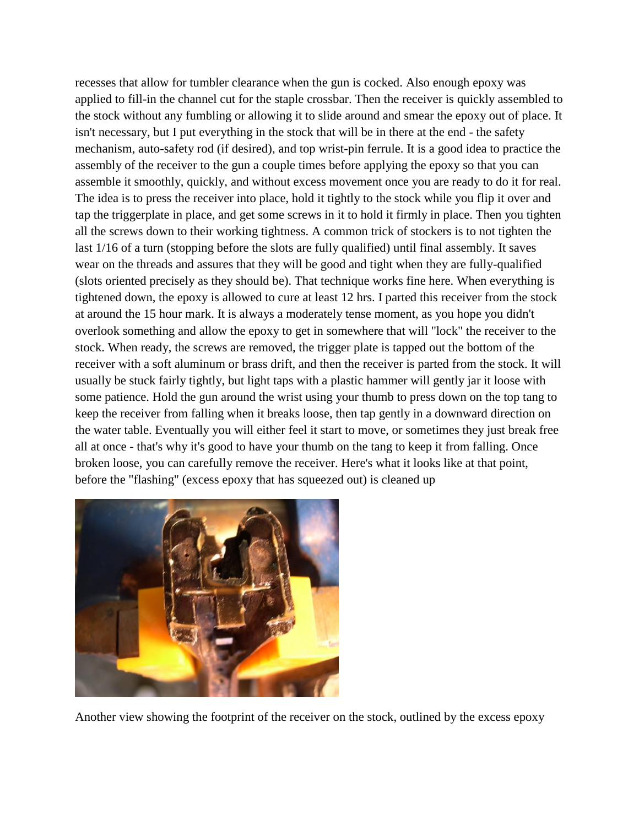recesses that allow for tumbler clearance when the gun is cocked. Also enough epoxy was applied to fill-in the channel cut for the staple crossbar. Then the receiver is quickly assembled to the stock without any fumbling or allowing it to slide around and smear the epoxy out of place. It isn't necessary, but I put everything in the stock that will be in there at the end - the safety mechanism, auto-safety rod (if desired), and top wrist-pin ferrule. It is a good idea to practice the assembly of the receiver to the gun a couple times before applying the epoxy so that you can assemble it smoothly, quickly, and without excess movement once you are ready to do it for real. The idea is to press the receiver into place, hold it tightly to the stock while you flip it over and tap the triggerplate in place, and get some screws in it to hold it firmly in place. Then you tighten all the screws down to their working tightness. A common trick of stockers is to not tighten the last 1/16 of a turn (stopping before the slots are fully qualified) until final assembly. It saves wear on the threads and assures that they will be good and tight when they are fully-qualified (slots oriented precisely as they should be). That technique works fine here. When everything is tightened down, the epoxy is allowed to cure at least 12 hrs. I parted this receiver from the stock at around the 15 hour mark. It is always a moderately tense moment, as you hope you didn't overlook something and allow the epoxy to get in somewhere that will "lock" the receiver to the stock. When ready, the screws are removed, the trigger plate is tapped out the bottom of the receiver with a soft aluminum or brass drift, and then the receiver is parted from the stock. It will usually be stuck fairly tightly, but light taps with a plastic hammer will gently jar it loose with some patience. Hold the gun around the wrist using your thumb to press down on the top tang to keep the receiver from falling when it breaks loose, then tap gently in a downward direction on the water table. Eventually you will either feel it start to move, or sometimes they just break free all at once - that's why it's good to have your thumb on the tang to keep it from falling. Once broken loose, you can carefully remove the receiver. Here's what it looks like at that point, before the "flashing" (excess epoxy that has squeezed out) is cleaned up



Another view showing the footprint of the receiver on the stock, outlined by the excess epoxy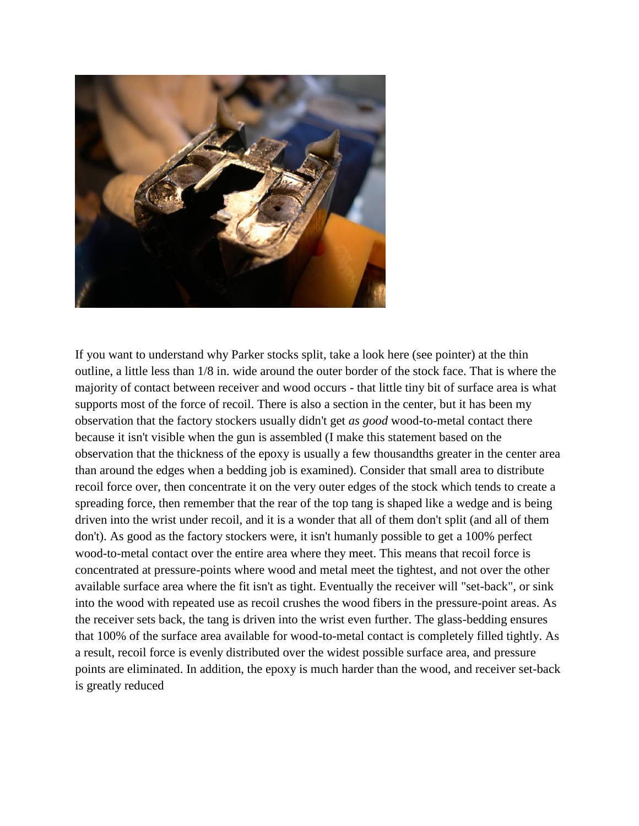

If you want to understand why Parker stocks split, take a look here (see pointer) at the thin outline, a little less than 1/8 in. wide around the outer border of the stock face. That is where the majority of contact between receiver and wood occurs - that little tiny bit of surface area is what supports most of the force of recoil. There is also a section in the center, but it has been my observation that the factory stockers usually didn't get *as good* wood-to-metal contact there because it isn't visible when the gun is assembled (I make this statement based on the observation that the thickness of the epoxy is usually a few thousandths greater in the center area than around the edges when a bedding job is examined). Consider that small area to distribute recoil force over, then concentrate it on the very outer edges of the stock which tends to create a spreading force, then remember that the rear of the top tang is shaped like a wedge and is being driven into the wrist under recoil, and it is a wonder that all of them don't split (and all of them don't). As good as the factory stockers were, it isn't humanly possible to get a 100% perfect wood-to-metal contact over the entire area where they meet. This means that recoil force is concentrated at pressure-points where wood and metal meet the tightest, and not over the other available surface area where the fit isn't as tight. Eventually the receiver will "set-back", or sink into the wood with repeated use as recoil crushes the wood fibers in the pressure-point areas. As the receiver sets back, the tang is driven into the wrist even further. The glass-bedding ensures that 100% of the surface area available for wood-to-metal contact is completely filled tightly. As a result, recoil force is evenly distributed over the widest possible surface area, and pressure points are eliminated. In addition, the epoxy is much harder than the wood, and receiver set-back is greatly reduced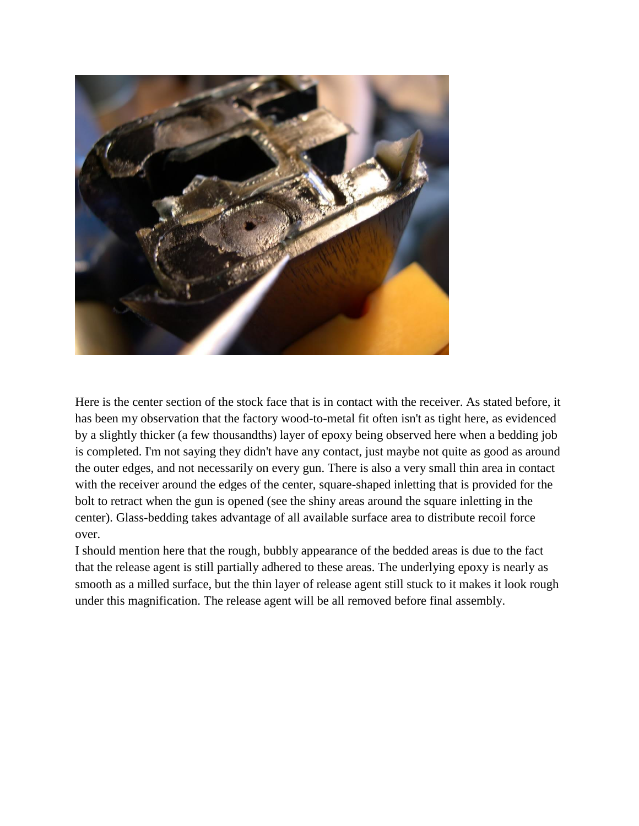

Here is the center section of the stock face that is in contact with the receiver. As stated before, it has been my observation that the factory wood-to-metal fit often isn't as tight here, as evidenced by a slightly thicker (a few thousandths) layer of epoxy being observed here when a bedding job is completed. I'm not saying they didn't have any contact, just maybe not quite as good as around the outer edges, and not necessarily on every gun. There is also a very small thin area in contact with the receiver around the edges of the center, square-shaped inletting that is provided for the bolt to retract when the gun is opened (see the shiny areas around the square inletting in the center). Glass-bedding takes advantage of all available surface area to distribute recoil force over.

I should mention here that the rough, bubbly appearance of the bedded areas is due to the fact that the release agent is still partially adhered to these areas. The underlying epoxy is nearly as smooth as a milled surface, but the thin layer of release agent still stuck to it makes it look rough under this magnification. The release agent will be all removed before final assembly.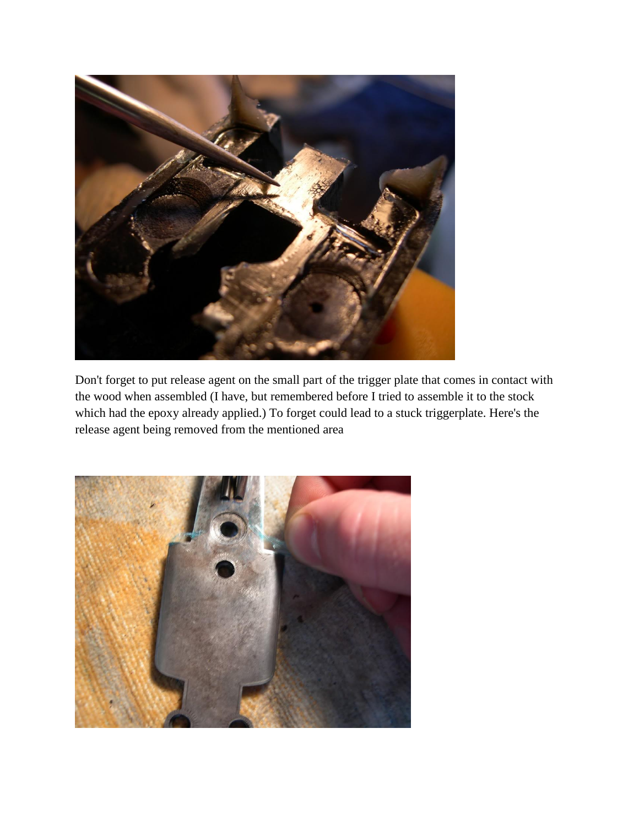

Don't forget to put release agent on the small part of the trigger plate that comes in contact with the wood when assembled (I have, but remembered before I tried to assemble it to the stock which had the epoxy already applied.) To forget could lead to a stuck triggerplate. Here's the release agent being removed from the mentioned area

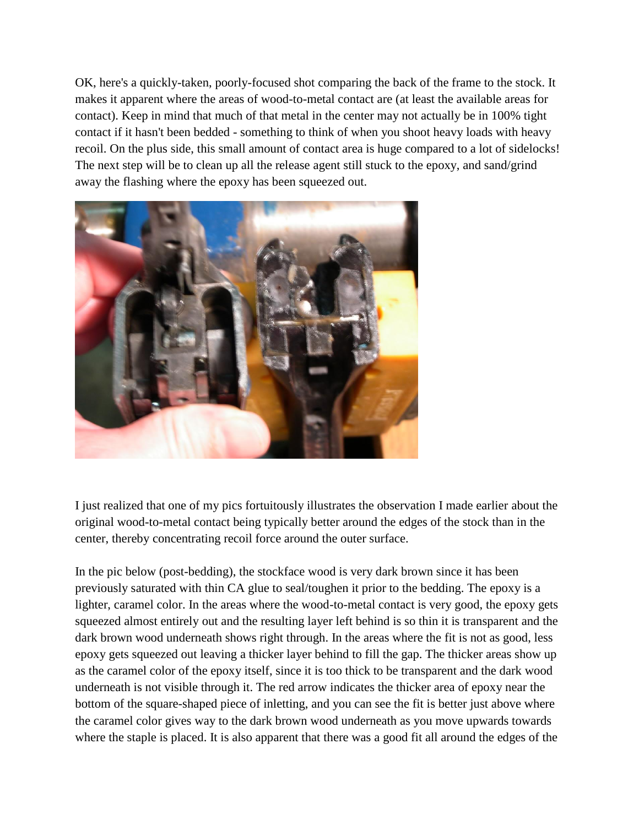OK, here's a quickly-taken, poorly-focused shot comparing the back of the frame to the stock. It makes it apparent where the areas of wood-to-metal contact are (at least the available areas for contact). Keep in mind that much of that metal in the center may not actually be in 100% tight contact if it hasn't been bedded - something to think of when you shoot heavy loads with heavy recoil. On the plus side, this small amount of contact area is huge compared to a lot of sidelocks! The next step will be to clean up all the release agent still stuck to the epoxy, and sand/grind away the flashing where the epoxy has been squeezed out.



I just realized that one of my pics fortuitously illustrates the observation I made earlier about the original wood-to-metal contact being typically better around the edges of the stock than in the center, thereby concentrating recoil force around the outer surface.

In the pic below (post-bedding), the stockface wood is very dark brown since it has been previously saturated with thin CA glue to seal/toughen it prior to the bedding. The epoxy is a lighter, caramel color. In the areas where the wood-to-metal contact is very good, the epoxy gets squeezed almost entirely out and the resulting layer left behind is so thin it is transparent and the dark brown wood underneath shows right through. In the areas where the fit is not as good, less epoxy gets squeezed out leaving a thicker layer behind to fill the gap. The thicker areas show up as the caramel color of the epoxy itself, since it is too thick to be transparent and the dark wood underneath is not visible through it. The red arrow indicates the thicker area of epoxy near the bottom of the square-shaped piece of inletting, and you can see the fit is better just above where the caramel color gives way to the dark brown wood underneath as you move upwards towards where the staple is placed. It is also apparent that there was a good fit all around the edges of the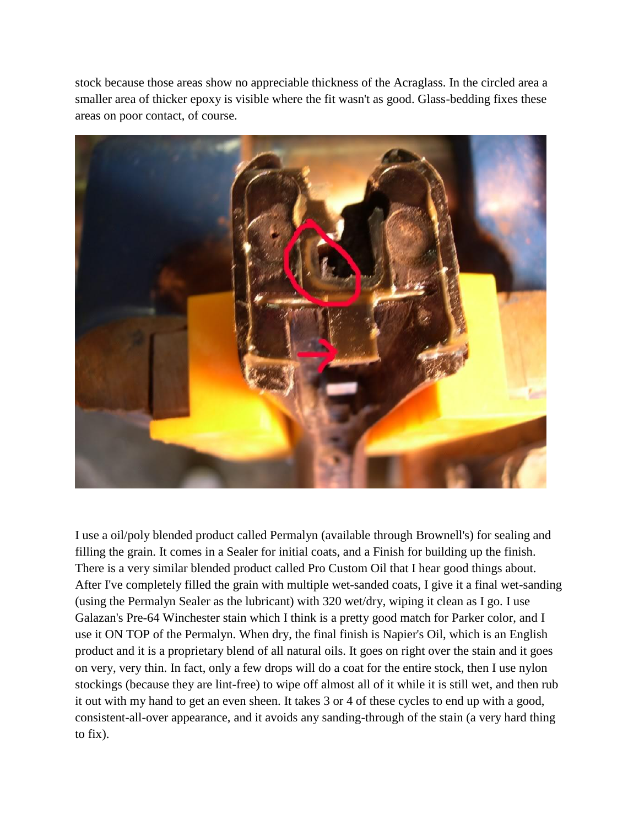stock because those areas show no appreciable thickness of the Acraglass. In the circled area a smaller area of thicker epoxy is visible where the fit wasn't as good. Glass-bedding fixes these areas on poor contact, of course.



I use a oil/poly blended product called Permalyn (available through Brownell's) for sealing and filling the grain. It comes in a Sealer for initial coats, and a Finish for building up the finish. There is a very similar blended product called Pro Custom Oil that I hear good things about. After I've completely filled the grain with multiple wet-sanded coats, I give it a final wet-sanding (using the Permalyn Sealer as the lubricant) with 320 wet/dry, wiping it clean as I go. I use Galazan's Pre-64 Winchester stain which I think is a pretty good match for Parker color, and I use it ON TOP of the Permalyn. When dry, the final finish is Napier's Oil, which is an English product and it is a proprietary blend of all natural oils. It goes on right over the stain and it goes on very, very thin. In fact, only a few drops will do a coat for the entire stock, then I use nylon stockings (because they are lint-free) to wipe off almost all of it while it is still wet, and then rub it out with my hand to get an even sheen. It takes 3 or 4 of these cycles to end up with a good, consistent-all-over appearance, and it avoids any sanding-through of the stain (a very hard thing to fix).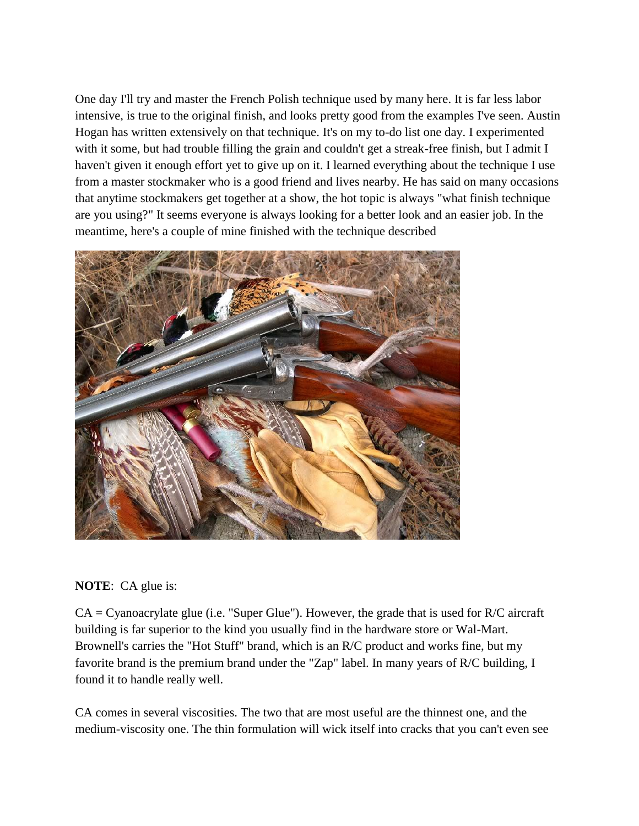One day I'll try and master the French Polish technique used by many here. It is far less labor intensive, is true to the original finish, and looks pretty good from the examples I've seen. Austin Hogan has written extensively on that technique. It's on my to-do list one day. I experimented with it some, but had trouble filling the grain and couldn't get a streak-free finish, but I admit I haven't given it enough effort yet to give up on it. I learned everything about the technique I use from a master stockmaker who is a good friend and lives nearby. He has said on many occasions that anytime stockmakers get together at a show, the hot topic is always "what finish technique are you using?" It seems everyone is always looking for a better look and an easier job. In the meantime, here's a couple of mine finished with the technique described



## **NOTE**: CA glue is:

 $CA = Cyanoacrylate$  glue (i.e. "Super Glue"). However, the grade that is used for  $R/C$  aircraft building is far superior to the kind you usually find in the hardware store or Wal-Mart. Brownell's carries the "Hot Stuff" brand, which is an R/C product and works fine, but my favorite brand is the premium brand under the "Zap" label. In many years of R/C building, I found it to handle really well.

CA comes in several viscosities. The two that are most useful are the thinnest one, and the medium-viscosity one. The thin formulation will wick itself into cracks that you can't even see